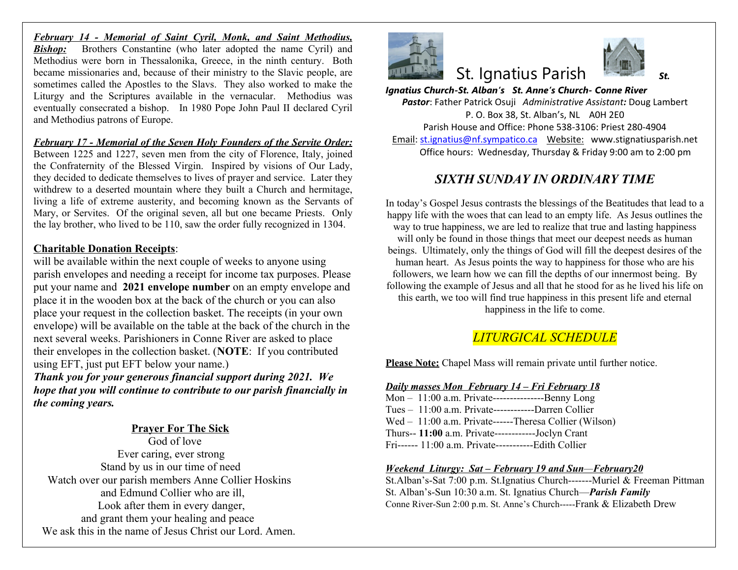*February 14 - Memorial of Saint Cyril, Monk, and Saint Methodius,* **Bishop:** Brothers Constantine (who later adopted the name Cyril) and Methodius were born in Thessalonika, Greece, in the ninth century. Both became missionaries and, because of their ministry to the Slavic people, are sometimes called the Apostles to the Slavs. They also worked to make the Liturgy and the Scriptures available in the vernacular. Methodius was eventually consecrated a bishop. In 1980 Pope John Paul II declared Cyril and Methodius patrons of Europe.

*February 17 - Memorial of the Seven Holy Founders of the Servite Order:* Between 1225 and 1227, seven men from the city of Florence, Italy, joined the Confraternity of the Blessed Virgin. Inspired by visions of Our Lady, they decided to dedicate themselves to lives of prayer and service. Later they withdrew to a deserted mountain where they built a Church and hermitage, living a life of extreme austerity, and becoming known as the Servants of Mary, or Servites. Of the original seven, all but one became Priests. Only the lay brother, who lived to be 110, saw the order fully recognized in 1304.

### **Charitable Donation Receipts**:

will be available within the next couple of weeks to anyone using parish envelopes and needing a receipt for income tax purposes. Please put your name and **2021 envelope number** on an empty envelope and place it in the wooden box at the back of the church or you can also place your request in the collection basket. The receipts (in your own envelope) will be available on the table at the back of the church in the next several weeks. Parishioners in Conne River are asked to place their envelopes in the collection basket. (**NOTE**: If you contributed using EFT, just put EFT below your name.)

*Thank you for your generous financial support during 2021. We hope that you will continue to contribute to our parish financially in the coming years.*

### **Prayer For The Sick**

 God of love Ever caring, ever strong Stand by us in our time of need Watch over our parish members Anne Collier Hoskins and Edmund Collier who are ill, Look after them in every danger, and grant them your healing and peace We ask this in the name of Jesus Christ our Lord. Amen.



# **St.** Ignatius Pari

*Ignatius Church-St. Alban's St. Anne's Ch Pastor*: Father Patrick Osuji *Administrat* P. O. Box 38, St. Alban's, Parish House and Office: Phone 538 Email: st.ignatius@nf.sympatico.ca Webs Office hours: Wednesday, Thursday

## *SIXTH SUNDAY IN OR*

In today's Gospel Jesus contrasts the blessing happy life with the woes that can lead to an e way to true happiness, we are led to realize will only be found in those things that meet beings. Ultimately, only the things of God v human heart. As Jesus points the way to h followers, we learn how we can fill the dep following the example of Jesus and all that h this earth, we too will find true happiness happiness in the life.

## $LITURGICAL$  *SCH*

**Please Note:** Chapel Mass will remain private

#### *Daily masses Mon February 14 – Fri February 18*

|  | Mon $-11:00$ a.m. Private---------------------Benny |  |
|--|-----------------------------------------------------|--|
|  | Tues $-11:00$ a.m. Private-------------Darren Q     |  |
|  | Wed - 11:00 a.m. Private------Theresa Collic        |  |
|  | Thurs-- 11:00 a.m. Private-------------Joclyn C     |  |
|  | Fri------ 11:00 a.m. Private-------------Edith Co   |  |

#### *<u>Weekend Liturgy: Sat – February 19 and S</u>*

St.Alban's-Sat 7:00 p.m. St.Ignatius Church-St. Alban's-Sun 10:30 a.m. St. Ignatius Chur Conne River-Sun 2:00 p.m. St. Anne's Church---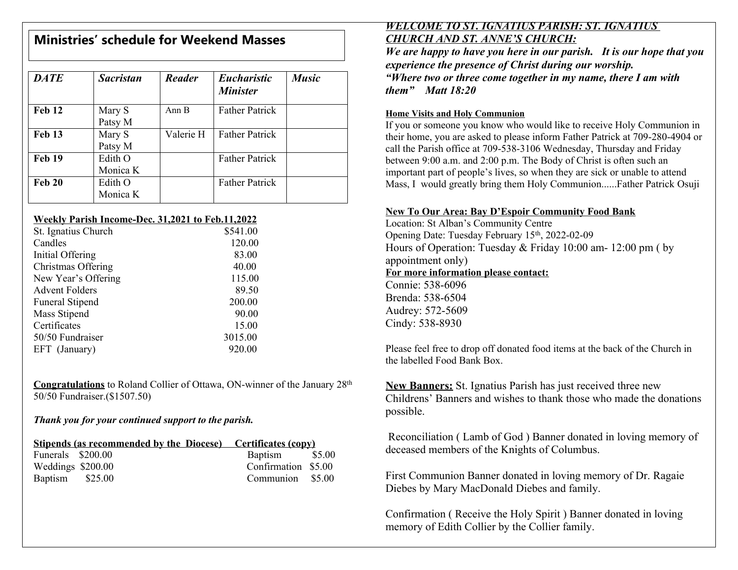# **Ministries' schedule for Weekend Masses**

| <b>DATE</b>   | <b>Sacristan</b>    | <b>Reader</b>    | <b>Eucharistic</b><br><b>Minister</b> | <b>Music</b> |
|---------------|---------------------|------------------|---------------------------------------|--------------|
| <b>Feb 12</b> | Mary S<br>Patsy M   | Ann <sub>B</sub> | <b>Father Patrick</b>                 |              |
| <b>Feb 13</b> | Mary S<br>Patsy M   | Valerie H        | <b>Father Patrick</b>                 |              |
| <b>Feb 19</b> | Edith O<br>Monica K |                  | <b>Father Patrick</b>                 |              |
| <b>Feb 20</b> | Edith O<br>Monica K |                  | <b>Father Patrick</b>                 |              |

### **Weekly Parish Income-Dec. 31,2021 to Feb.11,2022**

| St. Ignatius Church    | \$541.00 |
|------------------------|----------|
| Candles                | 120.00   |
| Initial Offering       | 83.00    |
| Christmas Offering     | 40.00    |
| New Year's Offering    | 115.00   |
| <b>Advent Folders</b>  | 89.50    |
| <b>Funeral Stipend</b> | 200.00   |
| Mass Stipend           | 90.00    |
| Certificates           | 15.00    |
| 50/50 Fundraiser       | 3015.00  |
| EFT (January)          | 920.00   |
|                        |          |

**Congratulations** to Roland Collier of Ottawa, ON-winner of the January 28th 50/50 Fundraiser.(\$1507.50)

### *Thank you for your continued support to the parish.*

| <b>Stipends (as recommended by the Diocese)</b> Certificates (copy) |                     |  |  |
|---------------------------------------------------------------------|---------------------|--|--|
| Funerals \$200.00                                                   | Baptism \$5.00      |  |  |
| Weddings \$200.00                                                   | Confirmation \$5.00 |  |  |
| Baptism \$25.00                                                     | Communion \$5.00    |  |  |

### *WELCOME TO ST. IGNATIUS PARISH: ST. IGNATIUS CHURCH AND ST. ANNE'S CHURCH:*

*We are happy to have you here in our parish. It is our hope that you experience the presence of Christ during our worship. "Where two or three come together in my name, there I am with them" Matt 18:20*

### **Home Visits and Holy Communion**

If you or someone you know who would like to receive Holy Communion in their home, you are asked to please inform Father Patrick at 709-280-4904 or call the Parish office at 709-538-3106 Wednesday, Thursday and Friday between 9:00 a.m. and 2:00 p.m. The Body of Christ is often such an important part of people's lives, so when they are sick or unable to attend Mass, I would greatly bring them Holy Communion......Father Patrick Osuji

## **New To Our Area: Bay D'Espoir Community Food Bank**

Location: St Alban's Community Centre Opening Date: Tuesday February 15th, 2022-02-09 Hours of Operation: Tuesday & Friday 10:00 am- 12:00 pm ( by appointment only) **For more information please contact:** Connie: 538-6096 Brenda: 538-6504

Audrey: 572-5609 Cindy: 538-8930

Please feel free to drop off donated food items at the back of the Church in the labelled Food Bank Box.

**New Banners:** St. Ignatius Parish has just received three new Childrens' Banners and wishes to thank those who made the donations possible.

 Reconciliation ( Lamb of God ) Banner donated in loving memory of deceased members of the Knights of Columbus.

First Communion Banner donated in loving memory of Dr. Ragaie Diebes by Mary MacDonald Diebes and family.

Confirmation ( Receive the Holy Spirit ) Banner donated in loving memory of Edith Collier by the Collier family.